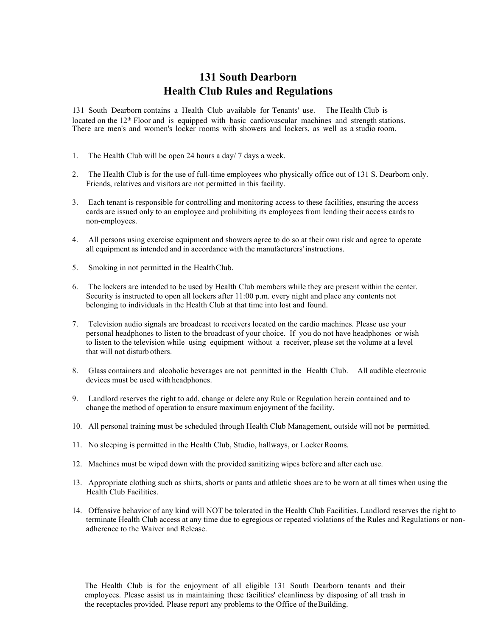# **131 South Dearborn Health Club Rules and Regulations**

131 South Dearborn contains a Health Club available for Tenants' use. The Health Club is located on the 12<sup>th</sup> Floor and is equipped with basic cardiovascular machines and strength stations. There are men's and women's locker rooms with showers and lockers, as well as a studio room.

- 1. The Health Club will be open 24 hours a day/ 7 days a week.
- 2. The Health Club is for the use of full-time employees who physically office out of 131 S. Dearborn only. Friends, relatives and visitors are not permitted in this facility.
- 3. Each tenant is responsible for controlling and monitoring access to these facilities, ensuring the access cards are issued only to an employee and prohibiting its employees from lending their access cards to non-employees.
- 4. All persons using exercise equipment and showers agree to do so at their own risk and agree to operate all equipment as intended and in accordance with the manufacturers' instructions.
- 5. Smoking in not permitted in the HealthClub.
- 6. The lockers are intended to be used by Health Club members while they are present within the center. Security is instructed to open all lockers after 11:00 p.m. every night and place any contents not belonging to individuals in the Health Club at that time into lost and found.
- 7. Television audio signals are broadcast to receivers located on the cardio machines. Please use your personal headphones to listen to the broadcast of your choice. If you do not have headphones or wish to listen to the television while using equipment without a receiver, please set the volume at a level that will not disturb others.
- 8. Glass containers and alcoholic beverages are not permitted in the Health Club. All audible electronic devices must be used with headphones.
- 9. Landlord reserves the right to add, change or delete any Rule or Regulation herein contained and to change the method of operation to ensure maximum enjoyment of the facility.
- 10. All personal training must be scheduled through Health Club Management, outside will not be permitted.
- 11. No sleeping is permitted in the Health Club, Studio, hallways, or LockerRooms.
- 12. Machines must be wiped down with the provided sanitizing wipes before and after each use.
- 13. Appropriate clothing such as shirts, shorts or pants and athletic shoes are to be worn at all times when using the Health Club Facilities.
- 14. Offensive behavior of any kind will NOT be tolerated in the Health Club Facilities. Landlord reserves the right to terminate Health Club access at any time due to egregious or repeated violations of the Rules and Regulations or nonadherence to the Waiver and Release.

The Health Club is for the enjoyment of all eligible 131 South Dearborn tenants and their employees. Please assist us in maintaining these facilities' cleanliness by disposing of all trash in the receptacles provided. Please report any problems to the Office of theBuilding.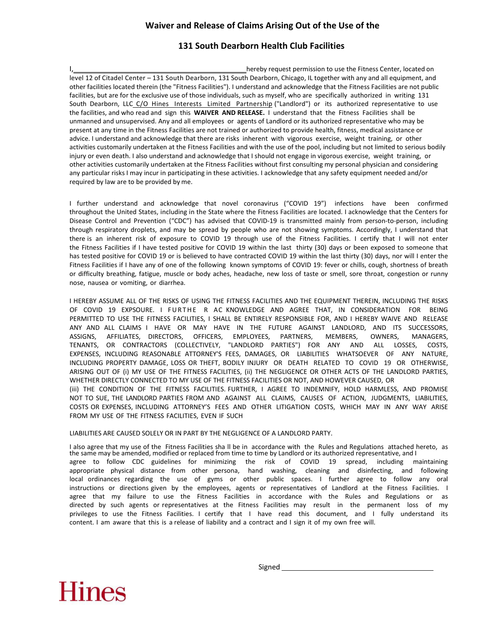## **Waiver and Release of Claims Arising Out of the Use of the**

### **131 South Dearborn Health Club Facilities**

hereby request permission to use the Fitness Center, located on level 12 of Citadel Center – 131 South Dearborn, 131 South Dearborn, Chicago, IL together with any and all equipment, and other facilities located therein (the "Fitness Facilities"). I understand and acknowledge that the Fitness Facilities are not public facilities, but are for the exclusive use of those individuals, such as myself, who are specifically authorized in writing 131 South Dearborn, LLC C/O Hines Interests Limited Partnership ("Landlord") or its authorized representative to use the facilities, and who read and sign this **WAIVER AND RELEASE.** I understand that the Fitness Facilities shall be unmanned and unsupervised. Any and all employees or agents of Landlord or its authorized representative who may be present at any time in the Fitness Facilities are not trained or authorized to provide health, fitness, medical assistance or advice. I understand and acknowledge that there are risks inherent with vigorous exercise, weight training, or other activities customarily undertaken at the Fitness Facilities and with the use of the pool, including but not limited to serious bodily injury or even death. I also understand and acknowledge that I should not engage in vigorous exercise, weight training, or other activities customarily undertaken at the Fitness Facilities without first consulting my personal physician and considering any particular risks I may incur in participating in these activities. I acknowledge that any safety equipment needed and/or required by law are to be provided by me.

I further understand and acknowledge that novel coronavirus ("COVID 19") infections have been confirmed throughout the United States, including in the State where the Fitness Facilities are located. I acknowledge that the Centers for Disease Control and Prevention ("CDC") has advised that COVID-19 is transmitted mainly from person-to-person, including through respiratory droplets, and may be spread by people who are not showing symptoms. Accordingly, I understand that there is an inherent risk of exposure to COVID 19 through use of the Fitness Facilities. I certify that I will not enter the Fitness Facilities if I have tested positive for COVID 19 within the last thirty (30) days or been exposed to someone that has tested positive for COVID 19 or is believed to have contracted COVID 19 within the last thirty (30) days, nor will I enter the Fitness Facilities if I have any of one of the following known symptoms of COVID 19: fever or chills, cough, shortness of breath or difficulty breathing, fatigue, muscle or body aches, headache, new loss of taste or smell, sore throat, congestion or runny nose, nausea or vomiting, or diarrhea.

I HEREBY ASSUME ALL OF THE RISKS OF USING THE FITNESS FACILITIES AND THE EQUIPMENT THEREIN, INCLUDING THE RISKS OF COVID 19 EXPSOURE. I FURTHE R AC KNOWLEDGE AND AGREE THAT, IN CONSIDERATION FOR BEING PERMITTED TO USE THE FITNESS FACILITIES, I SHALL BE ENTIRELY RESPONSIBLE FOR, AND I HEREBY WAIVE AND RELEASE ANY AND ALL CLAIMS I HAVE OR MAY HAVE IN THE FUTURE AGAINST LANDLORD, AND ITS SUCCESSORS, ASSIGNS, AFFILIATES, DIRECTORS, OFFICERS, EMPLOYEES, PARTNERS, MEMBERS, OWNERS, MANAGERS, TENANTS, OR CONTRACTORS (COLLECTIVELY, "LANDLORD PARTIES") FOR ANY AND ALL LOSSES, COSTS, EXPENSES, INCLUDING REASONABLE ATTORNEY'S FEES, DAMAGES, OR LIABILITIES WHATSOEVER OF ANY NATURE, INCLUDING PROPERTY DAMAGE, LOSS OR THEFT, BODILY INJURY OR DEATH RELATED TO COVID 19 OR OTHERWISE, ARISING OUT OF (i) MY USE OF THE FITNESS FACILITIES, (ii) THE NEGLIGENCE OR OTHER ACTS OF THE LANDLORD PARTIES, WHETHER DIRECTLY CONNECTED TO MY USE OF THE FITNESS FACILITIES OR NOT, AND HOWEVER CAUSED, OR (iii) THE CONDITION OF THE FITNESS FACILITIES. FURTHER, I AGREE TO INDEMNIFY, HOLD HARMLESS, AND PROMISE NOT TO SUE, THE LANDLORD PARTIES FROM AND AGAINST ALL CLAIMS, CAUSES OF ACTION, JUDGMENTS, LIABILITIES, COSTS OR EXPENSES, INCLUDING ATTORNEY'S FEES AND OTHER LITIGATION COSTS, WHICH MAY IN ANY WAY ARISE

### LIABILITIES ARE CAUSED SOLELY OR IN PART BY THE NEGLIGENCE OF A LANDLORD PARTY.

FROM MY USE OF THE FITNESS FACILITIES, EVEN IF SUCH

I also agree that my use of the Fitness Facilities sha ll be in accordance with the Rules and Regulations attached hereto, as the same may be amended, modified or replaced from time to time by Landlord or its authorized representative, and I agree to follow CDC guidelines for minimizing the risk of COVID 19 spread, including maintaining appropriate physical distance from other persona, hand washing, cleaning and disinfecting, and following local ordinances regarding the use of gyms or other public spaces. I further agree to follow any oral instructions or directions given by the employees, agents or representatives of Landlord at the Fitness Facilities. I agree that my failure to use the Fitness Facilities in accordance with the Rules and Regulations or as directed by such agents or representatives at the Fitness Facilities may result in the permanent loss of my privileges to use the Fitness Facilities. I certify that I have read this document, and I fully understand its content. I am aware that this is a release of liability and a contract and I sign it of my own free will.



Signed